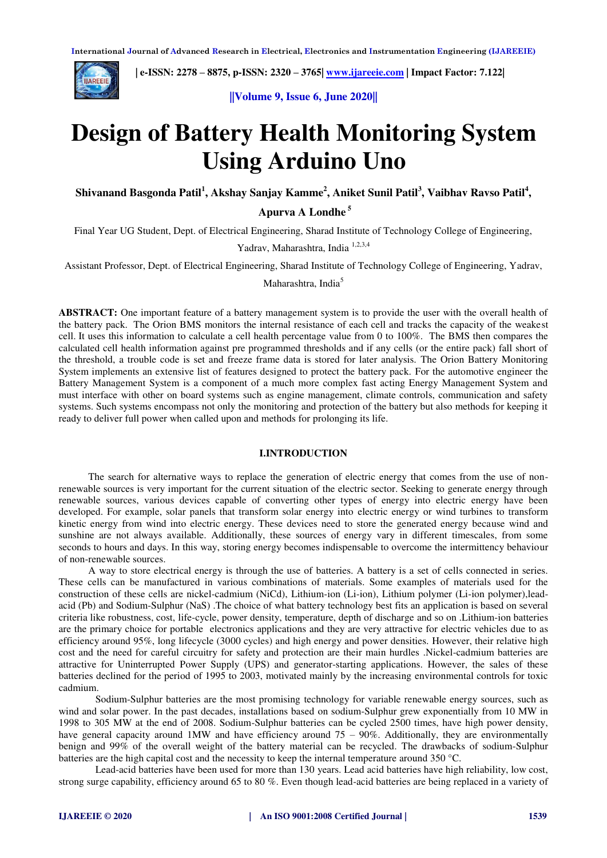

 **| e-ISSN: 2278 – 8875, p-ISSN: 2320 – 3765| [www.ijareeie.com](http://www.ijareeie.com/) | Impact Factor: 7.122|** 

**||Volume 9, Issue 6, June 2020||** 

# **Design of Battery Health Monitoring System Using Arduino Uno**

**Shivanand Basgonda Patil<sup>1</sup> , Akshay Sanjay Kamme<sup>2</sup> , Aniket Sunil Patil<sup>3</sup> , Vaibhav Ravso Patil<sup>4</sup> ,** 

 **Apurva A Londhe<sup>5</sup>**

Final Year UG Student, Dept. of Electrical Engineering, Sharad Institute of Technology College of Engineering,

Yadrav, Maharashtra, India 1,2,3,4

Assistant Professor, Dept. of Electrical Engineering, Sharad Institute of Technology College of Engineering, Yadrav,

Maharashtra, India<sup>5</sup>

**ABSTRACT:** One important feature of a battery management system is to provide the user with the overall health of the battery pack. The Orion BMS monitors the internal resistance of each cell and tracks the capacity of the weakest cell. It uses this information to calculate a cell health percentage value from 0 to 100%. The BMS then compares the calculated cell health information against pre programmed thresholds and if any cells (or the entire pack) fall short of the threshold, a trouble code is set and freeze frame data is stored for later analysis. The Orion Battery Monitoring System implements an extensive list of features designed to protect the battery pack. For the automotive engineer the Battery Management System is a component of a much more complex fast acting Energy Management System and must interface with other on board systems such as engine management, climate controls, communication and safety systems. Such systems encompass not only the monitoring and protection of the battery but also methods for keeping it ready to deliver full power when called upon and methods for prolonging its life.

## **I.INTRODUCTION**

The search for alternative ways to replace the generation of electric energy that comes from the use of nonrenewable sources is very important for the current situation of the electric sector. Seeking to generate energy through renewable sources, various devices capable of converting other types of energy into electric energy have been developed. For example, solar panels that transform solar energy into electric energy or wind turbines to transform kinetic energy from wind into electric energy. These devices need to store the generated energy because wind and sunshine are not always available. Additionally, these sources of energy vary in different timescales, from some seconds to hours and days. In this way, storing energy becomes indispensable to overcome the intermittency behaviour of non-renewable sources.

A way to store electrical energy is through the use of batteries. A battery is a set of cells connected in series. These cells can be manufactured in various combinations of materials. Some examples of materials used for the construction of these cells are nickel-cadmium (NiCd), Lithium-ion (Li-ion), Lithium polymer (Li-ion polymer),leadacid (Pb) and Sodium-Sulphur (NaS) .The choice of what battery technology best fits an application is based on several criteria like robustness, cost, life-cycle, power density, temperature, depth of discharge and so on .Lithium-ion batteries are the primary choice for portable electronics applications and they are very attractive for electric vehicles due to as efficiency around 95%, long lifecycle (3000 cycles) and high energy and power densities. However, their relative high cost and the need for careful circuitry for safety and protection are their main hurdles .Nickel-cadmium batteries are attractive for Uninterrupted Power Supply (UPS) and generator-starting applications. However, the sales of these batteries declined for the period of 1995 to 2003, motivated mainly by the increasing environmental controls for toxic cadmium.

Sodium-Sulphur batteries are the most promising technology for variable renewable energy sources, such as wind and solar power. In the past decades, installations based on sodium-Sulphur grew exponentially from 10 MW in 1998 to 305 MW at the end of 2008. Sodium-Sulphur batteries can be cycled 2500 times, have high power density, have general capacity around 1MW and have efficiency around  $75 - 90\%$ . Additionally, they are environmentally benign and 99% of the overall weight of the battery material can be recycled. The drawbacks of sodium-Sulphur batteries are the high capital cost and the necessity to keep the internal temperature around 350 °C.

Lead-acid batteries have been used for more than 130 years. Lead acid batteries have high reliability, low cost, strong surge capability, efficiency around 65 to 80 %. Even though lead-acid batteries are being replaced in a variety of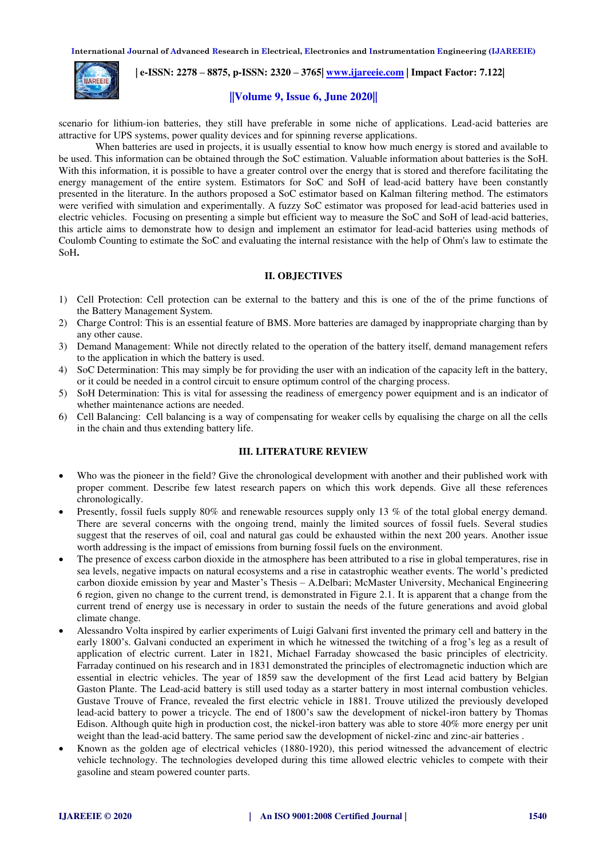

 **| e-ISSN: 2278 – 8875, p-ISSN: 2320 – 3765| [www.ijareeie.com](http://www.ijareeie.com/) | Impact Factor: 7.122|** 

## **||Volume 9, Issue 6, June 2020||**

scenario for lithium-ion batteries, they still have preferable in some niche of applications. Lead-acid batteries are attractive for UPS systems, power quality devices and for spinning reverse applications.

When batteries are used in projects, it is usually essential to know how much energy is stored and available to be used. This information can be obtained through the SoC estimation. Valuable information about batteries is the SoH. With this information, it is possible to have a greater control over the energy that is stored and therefore facilitating the energy management of the entire system. Estimators for SoC and SoH of lead-acid battery have been constantly presented in the literature. In the authors proposed a SoC estimator based on Kalman filtering method. The estimators were verified with simulation and experimentally. A fuzzy SoC estimator was proposed for lead-acid batteries used in electric vehicles. Focusing on presenting a simple but efficient way to measure the SoC and SoH of lead-acid batteries, this article aims to demonstrate how to design and implement an estimator for lead-acid batteries using methods of Coulomb Counting to estimate the SoC and evaluating the internal resistance with the help of Ohm's law to estimate the SoH**.**

## **II. OBJECTIVES**

- 1) Cell Protection: Cell protection can be external to the battery and this is one of the of the prime functions of the Battery Management System.
- 2) Charge Control: This is an essential feature of BMS. More batteries are damaged by inappropriate charging than by any other cause.
- 3) Demand Management: While not directly related to the operation of the battery itself, demand management refers to the application in which the battery is used.
- 4) SoC Determination: This may simply be for providing the user with an indication of the capacity left in the battery, or it could be needed in a control circuit to ensure optimum control of the charging process.
- 5) SoH Determination: This is vital for assessing the readiness of emergency power equipment and is an indicator of whether maintenance actions are needed.
- 6) Cell Balancing: Cell balancing is a way of compensating for weaker cells by equalising the charge on all the cells in the chain and thus extending battery life.

## **III. LITERATURE REVIEW**

- Who was the pioneer in the field? Give the chronological development with another and their published work with proper comment. Describe few latest research papers on which this work depends. Give all these references chronologically.
- Presently, fossil fuels supply 80% and renewable resources supply only 13 % of the total global energy demand. There are several concerns with the ongoing trend, mainly the limited sources of fossil fuels. Several studies suggest that the reserves of oil, coal and natural gas could be exhausted within the next 200 years. Another issue worth addressing is the impact of emissions from burning fossil fuels on the environment.
- The presence of excess carbon dioxide in the atmosphere has been attributed to a rise in global temperatures, rise in sea levels, negative impacts on natural ecosystems and a rise in catastrophic weather events. The world's predicted carbon dioxide emission by year and Master's Thesis – A.Delbari; McMaster University, Mechanical Engineering 6 region, given no change to the current trend, is demonstrated in Figure 2.1. It is apparent that a change from the current trend of energy use is necessary in order to sustain the needs of the future generations and avoid global climate change.
- Alessandro Volta inspired by earlier experiments of Luigi Galvani first invented the primary cell and battery in the early 1800's. Galvani conducted an experiment in which he witnessed the twitching of a frog's leg as a result of application of electric current. Later in 1821, Michael Farraday showcased the basic principles of electricity. Farraday continued on his research and in 1831 demonstrated the principles of electromagnetic induction which are essential in electric vehicles. The year of 1859 saw the development of the first Lead acid battery by Belgian Gaston Plante. The Lead-acid battery is still used today as a starter battery in most internal combustion vehicles. Gustave Trouve of France, revealed the first electric vehicle in 1881. Trouve utilized the previously developed lead-acid battery to power a tricycle. The end of 1800's saw the development of nickel-iron battery by Thomas Edison. Although quite high in production cost, the nickel-iron battery was able to store 40% more energy per unit weight than the lead-acid battery. The same period saw the development of nickel-zinc and zinc-air batteries .
- Known as the golden age of electrical vehicles (1880-1920), this period witnessed the advancement of electric vehicle technology. The technologies developed during this time allowed electric vehicles to compete with their gasoline and steam powered counter parts.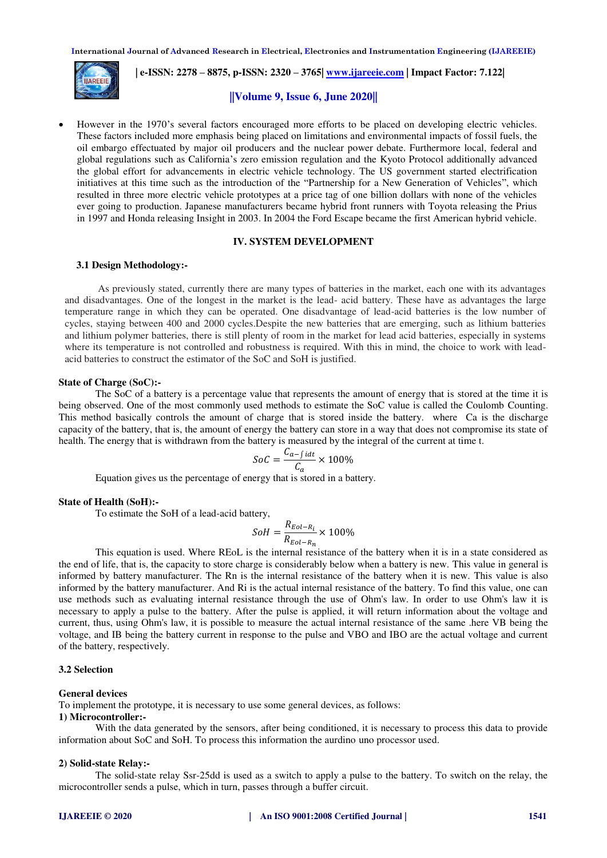

 **| e-ISSN: 2278 – 8875, p-ISSN: 2320 – 3765| [www.ijareeie.com](http://www.ijareeie.com/) | Impact Factor: 7.122|** 

## **||Volume 9, Issue 6, June 2020||**

 However in the 1970's several factors encouraged more efforts to be placed on developing electric vehicles. These factors included more emphasis being placed on limitations and environmental impacts of fossil fuels, the oil embargo effectuated by major oil producers and the nuclear power debate. Furthermore local, federal and global regulations such as California's zero emission regulation and the Kyoto Protocol additionally advanced the global effort for advancements in electric vehicle technology. The US government started electrification initiatives at this time such as the introduction of the "Partnership for a New Generation of Vehicles", which resulted in three more electric vehicle prototypes at a price tag of one billion dollars with none of the vehicles ever going to production. Japanese manufacturers became hybrid front runners with Toyota releasing the Prius in 1997 and Honda releasing Insight in 2003. In 2004 the Ford Escape became the first American hybrid vehicle.

## **IV. SYSTEM DEVELOPMENT**

#### **3.1 Design Methodology:-**

 As previously stated, currently there are many types of batteries in the market, each one with its advantages and disadvantages. One of the longest in the market is the lead- acid battery. These have as advantages the large temperature range in which they can be operated. One disadvantage of lead-acid batteries is the low number of cycles, staying between 400 and 2000 cycles.Despite the new batteries that are emerging, such as lithium batteries and lithium polymer batteries, there is still plenty of room in the market for lead acid batteries, especially in systems where its temperature is not controlled and robustness is required. With this in mind, the choice to work with leadacid batteries to construct the estimator of the SoC and SoH is justified.

#### **State of Charge (SoC):-**

The SoC of a battery is a percentage value that represents the amount of energy that is stored at the time it is being observed. One of the most commonly used methods to estimate the SoC value is called the Coulomb Counting. This method basically controls the amount of charge that is stored inside the battery. where Ca is the discharge capacity of the battery, that is, the amount of energy the battery can store in a way that does not compromise its state of health. The energy that is withdrawn from the battery is measured by the integral of the current at time t.

$$
SoC = \frac{C_{a-f \, idt}}{C_a} \times 100\%
$$

Equation gives us the percentage of energy that is stored in a battery.

#### **State of Health (SoH):-**

To estimate the SoH of a lead-acid battery,

$$
Soft = \frac{R_{Eol-R_i}}{R_{Eol-R_n}} \times 100\%
$$

This equation is used. Where REoL is the internal resistance of the battery when it is in a state considered as the end of life, that is, the capacity to store charge is considerably below when a battery is new. This value in general is informed by battery manufacturer. The Rn is the internal resistance of the battery when it is new. This value is also informed by the battery manufacturer. And Ri is the actual internal resistance of the battery. To find this value, one can use methods such as evaluating internal resistance through the use of Ohm's law. In order to use Ohm's law it is necessary to apply a pulse to the battery. After the pulse is applied, it will return information about the voltage and current, thus, using Ohm's law, it is possible to measure the actual internal resistance of the same .here VB being the voltage, and IB being the battery current in response to the pulse and VBO and IBO are the actual voltage and current of the battery, respectively.

#### **3.2 Selection**

#### **General devices**

To implement the prototype, it is necessary to use some general devices, as follows:

#### **1) Microcontroller:-**

With the data generated by the sensors, after being conditioned, it is necessary to process this data to provide information about SoC and SoH. To process this information the aurdino uno processor used.

#### **2) Solid-state Relay:-**

The solid-state relay Ssr-25dd is used as a switch to apply a pulse to the battery. To switch on the relay, the microcontroller sends a pulse, which in turn, passes through a buffer circuit.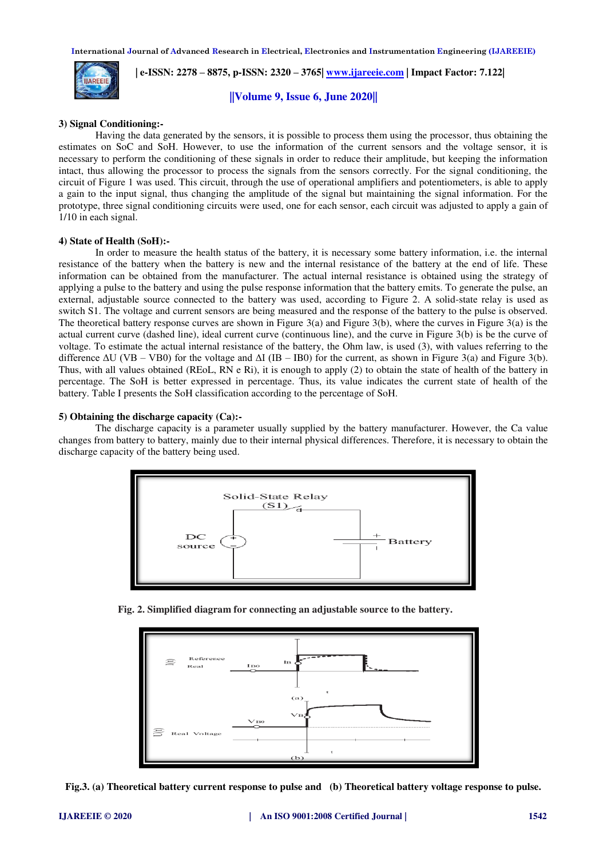

 **| e-ISSN: 2278 – 8875, p-ISSN: 2320 – 3765| [www.ijareeie.com](http://www.ijareeie.com/) | Impact Factor: 7.122|** 

**||Volume 9, Issue 6, June 2020||** 

## **3) Signal Conditioning:-**

Having the data generated by the sensors, it is possible to process them using the processor, thus obtaining the estimates on SoC and SoH. However, to use the information of the current sensors and the voltage sensor, it is necessary to perform the conditioning of these signals in order to reduce their amplitude, but keeping the information intact, thus allowing the processor to process the signals from the sensors correctly. For the signal conditioning, the circuit of Figure 1 was used. This circuit, through the use of operational amplifiers and potentiometers, is able to apply a gain to the input signal, thus changing the amplitude of the signal but maintaining the signal information. For the prototype, three signal conditioning circuits were used, one for each sensor, each circuit was adjusted to apply a gain of 1/10 in each signal.

## **4) State of Health (SoH):-**

In order to measure the health status of the battery, it is necessary some battery information, i.e. the internal resistance of the battery when the battery is new and the internal resistance of the battery at the end of life. These information can be obtained from the manufacturer. The actual internal resistance is obtained using the strategy of applying a pulse to the battery and using the pulse response information that the battery emits. To generate the pulse, an external, adjustable source connected to the battery was used, according to Figure 2. A solid-state relay is used as switch S1. The voltage and current sensors are being measured and the response of the battery to the pulse is observed. The theoretical battery response curves are shown in Figure  $3(a)$  and Figure  $3(b)$ , where the curves in Figure  $3(a)$  is the actual current curve (dashed line), ideal current curve (continuous line), and the curve in Figure 3(b) is be the curve of voltage. To estimate the actual internal resistance of the battery, the Ohm law, is used (3), with values referring to the difference  $\Delta U (VB - VBO)$  for the voltage and  $\Delta I (IB - IBO)$  for the current, as shown in Figure 3(a) and Figure 3(b). Thus, with all values obtained (REoL, RN e Ri), it is enough to apply (2) to obtain the state of health of the battery in percentage. The SoH is better expressed in percentage. Thus, its value indicates the current state of health of the battery. Table I presents the SoH classification according to the percentage of SoH.

#### **5) Obtaining the discharge capacity (Ca):-**

The discharge capacity is a parameter usually supplied by the battery manufacturer. However, the Ca value changes from battery to battery, mainly due to their internal physical differences. Therefore, it is necessary to obtain the discharge capacity of the battery being used.



**Fig. 2. Simplified diagram for connecting an adjustable source to the battery.**



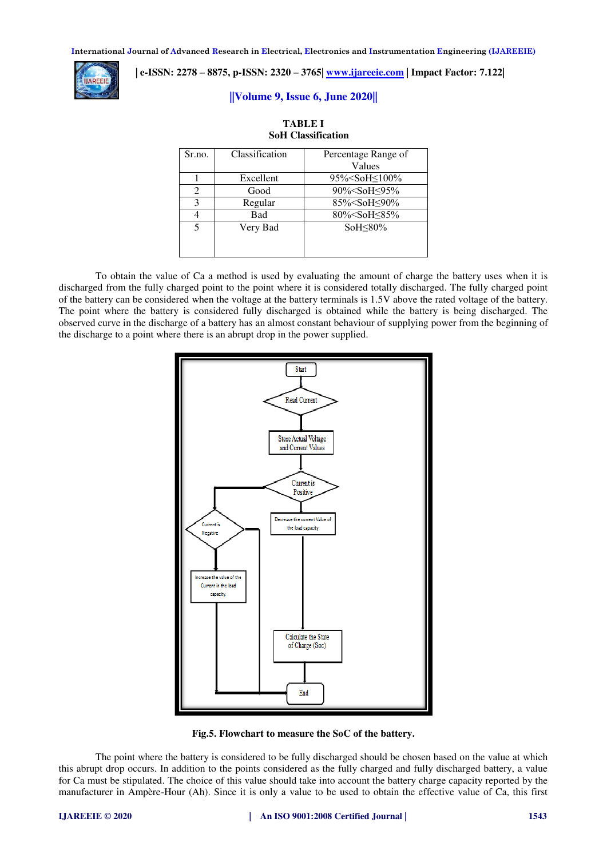

## **| e-ISSN: 2278 – 8875, p-ISSN: 2320 – 3765| [www.ijareeie.com](http://www.ijareeie.com/) | Impact Factor: 7.122|**

## **||Volume 9, Issue 6, June 2020||**

**TABLE I** 

| <b>SoH</b> Classification |                |                                   |  |
|---------------------------|----------------|-----------------------------------|--|
| Sr.no.                    | Classification | Percentage Range of               |  |
|                           |                | Values                            |  |
|                           | Excellent      | 95% <soh<100%< td=""></soh<100%<> |  |
| 2                         | Good           | 90% <soh<95%< td=""></soh<95%<>   |  |
| 3                         | Regular        | 85% <soh<90%< td=""></soh<90%<>   |  |
| 4                         | <b>Bad</b>     | 80% <soh≤85%< td=""></soh≤85%<>   |  |
| 5                         | Very Bad       | So $H<80\%$                       |  |
|                           |                |                                   |  |
|                           |                |                                   |  |

To obtain the value of Ca a method is used by evaluating the amount of charge the battery uses when it is discharged from the fully charged point to the point where it is considered totally discharged. The fully charged point of the battery can be considered when the voltage at the battery terminals is 1.5V above the rated voltage of the battery. The point where the battery is considered fully discharged is obtained while the battery is being discharged. The observed curve in the discharge of a battery has an almost constant behaviour of supplying power from the beginning of the discharge to a point where there is an abrupt drop in the power supplied.



**Fig.5. Flowchart to measure the SoC of the battery.** 

The point where the battery is considered to be fully discharged should be chosen based on the value at which this abrupt drop occurs. In addition to the points considered as the fully charged and fully discharged battery, a value for Ca must be stipulated. The choice of this value should take into account the battery charge capacity reported by the manufacturer in Ampère-Hour (Ah). Since it is only a value to be used to obtain the effective value of Ca, this first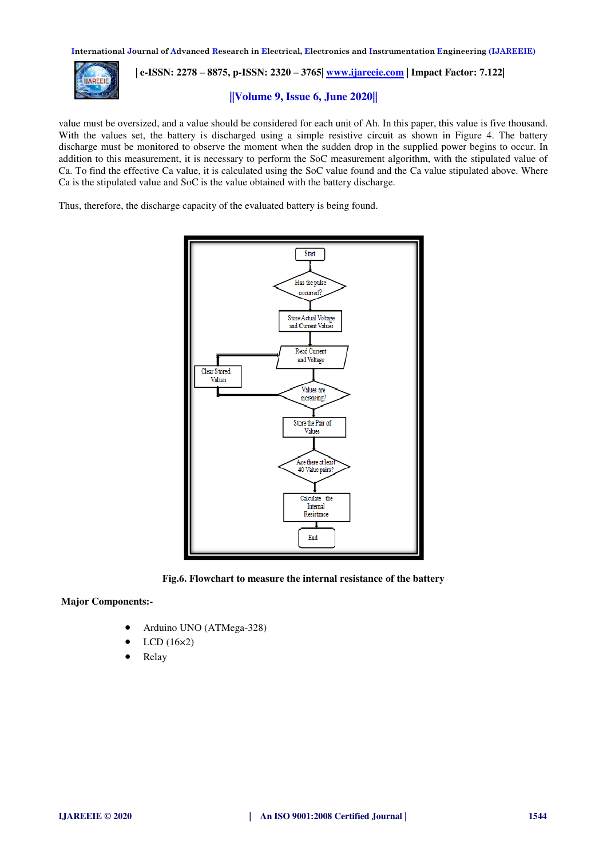

 **| e-ISSN: 2278 – 8875, p-ISSN: 2320 – 3765| [www.ijareeie.com](http://www.ijareeie.com/) | Impact Factor: 7.122|** 

## **||Volume 9, Issue 6, June 2020||**

value must be oversized, and a value should be considered for each unit of Ah. In this paper, this value is five thousand. With the values set, the battery is discharged using a simple resistive circuit as shown in Figure 4. The battery discharge must be monitored to observe the moment when the sudden drop in the supplied power begins to occur. In addition to this measurement, it is necessary to perform the SoC measurement algorithm, with the stipulated value of Ca. To find the effective Ca value, it is calculated using the SoC value found and the Ca value stipulated above. Where Ca is the stipulated value and SoC is the value obtained with the battery discharge.

Thus, therefore, the discharge capacity of the evaluated battery is being found.



**Fig.6. Flowchart to measure the internal resistance of the battery** 

 **Major Components:-** 

- Arduino UNO (ATMega-328)
- LCD (16×2)
- Relay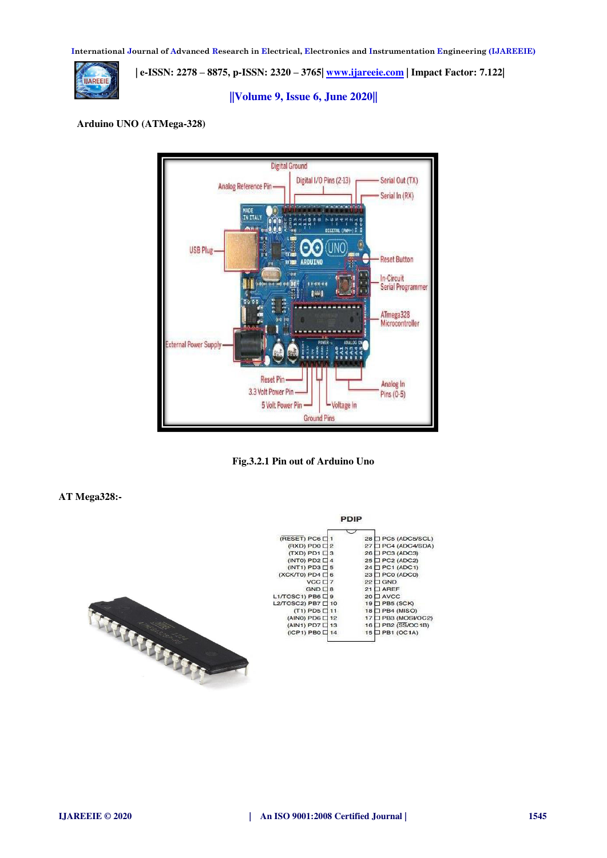

 **| e-ISSN: 2278 – 8875, p-ISSN: 2320 – 3765| [www.ijareeie.com](http://www.ijareeie.com/) | Impact Factor: 7.122|** 

## **||Volume 9, Issue 6, June 2020||**

## **Arduino UNO (ATMega-328)**



**Fig.3.2.1 Pin out of Arduino Uno** 

## **AT Mega328:-**

|                           | ---              |                       |
|---------------------------|------------------|-----------------------|
|                           |                  |                       |
| (RESET) PC6 □ 1           |                  | 28 PC5 (ADC5/SCL)     |
| $(RXD) PDO \square$ 2     |                  | 27 □ PC4 (ADC4/SDA)   |
| $(TXD)$ PD1 $\Box$ 3      |                  | 26 □ PC3 (ADC3)       |
| $(INT0)$ PD2 $\Box$       | $\boldsymbol{A}$ | 25 PC2 (ADC2)         |
| $(INT1)$ PD3 $\Box$ 5     |                  | 24 PC1 (ADC1)         |
| $(XCK/T0)$ PD4 $\Box$ 6   |                  | 23 PC0 (ADC0)         |
| $VCC$ $\Box$ 7            |                  | <b>GND</b><br>221     |
| $GND \Box 8$              |                  | <b>TAREE</b><br>21    |
| $L1/TOSC1$ ) PB6 $\Box$ 9 |                  | <b>I AVCC</b><br>20 L |
| L2/TOSC2) PB7 [ 10        |                  | $19$ $\Box$ PB5 (SCK) |
| $(T1)$ PD5 $\Box$ 11      |                  | 18 PB4 (MISO)         |
| (AIN0) PD6 □ 12           |                  | PB3 (MOSVOC2)<br>171  |
| (AIN1) PD7 □ 13           |                  | PB2 (SS/OC1B)<br>16 L |
| (ICP1) PB0 □ 14           |                  | JPB1 (OC1A)<br>15 I   |
|                           |                  |                       |

poin

TRANSFEREE STATES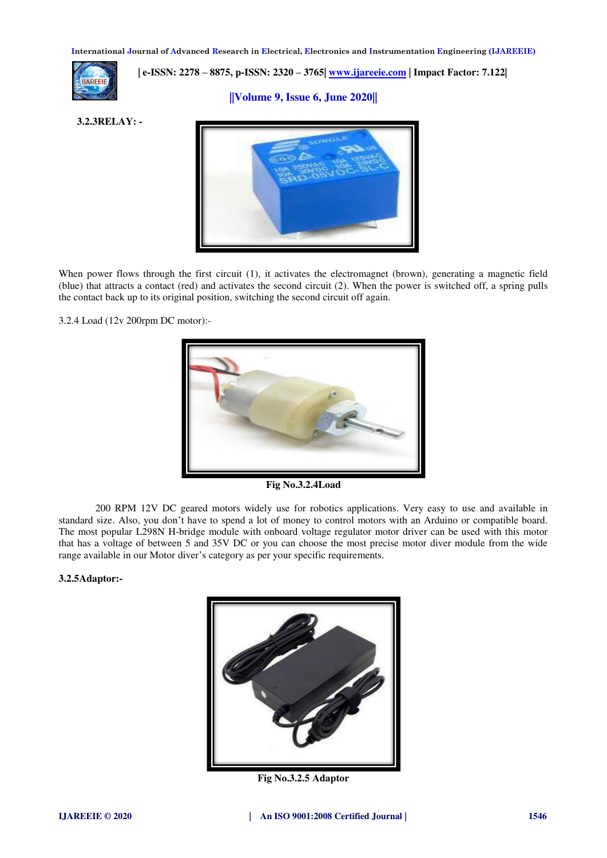

## **| e-ISSN: 2278 – 8875, p-ISSN: 2320 – 3765[| www.ijareeie.com](http://www.ijareeie.com/) | Impact Factor: 7.122|**

## **||Volume 9, Issue 6, June 2020||**

**3.2.3RELAY: -** 



When power flows through the first circuit (1), it activates the electromagnet (brown), generating a magnetic field (blue) that attracts a contact (red) and activates the second circuit (2). When the power is switched off, a spring pulls the contact back up to its original position, switching the second circuit off again.

3.2.4 Load (12v 200rpm DC motor):-



**Fig No.3.2.4Load** 

200 RPM 12V DC geared motors widely use for robotics applications. Very easy to use and available in standard size. Also, you don't have to spend a lot of money to control motors with an Arduino or compatible board. The most popular L298N H-bridge module with onboard voltage regulator motor driver can be used with this motor that has a voltage of between 5 and 35V DC or you can choose the most precise motor diver module from the wide range available in our Motor diver's category as per your specific requirements.

## **3.2.5Adaptor:-**



**Fig No.3.2.5 Adaptor**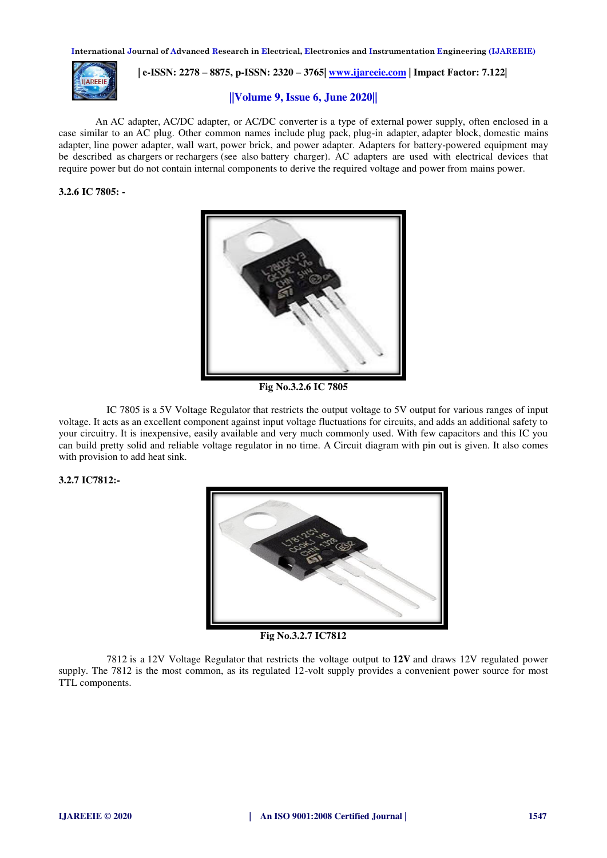

 **| e-ISSN: 2278 – 8875, p-ISSN: 2320 – 3765[| www.ijareeie.com](http://www.ijareeie.com/) | Impact Factor: 7.122|** 

## **||Volume 9, Issue 6, June 2020||**

An AC adapter, AC/DC adapter, or AC/DC converter is a type of external power supply, often enclosed in a case similar to an AC plug. Other common names include plug pack, plug-in adapter, adapter block, domestic mains adapter, line power adapter, wall wart, power brick, and power adapter. Adapters for battery-powered equipment may be described as chargers or rechargers (see also battery charger). AC adapters are used with electrical devices that require power but do not contain internal components to derive the required voltage and power from mains power.

## **3.2.6 IC 7805: -**



**Fig No.3.2.6 IC 7805** 

 IC 7805 is a 5V Voltage Regulator that restricts the output voltage to 5V output for various ranges of input voltage. It acts as an excellent component against input voltage fluctuations for circuits, and adds an additional safety to your circuitry. It is inexpensive, easily available and very much commonly used. With few capacitors and this IC you can build pretty solid and reliable voltage regulator in no time. A Circuit diagram with pin out is given. It also comes with provision to add heat sink.

#### **3.2.7 IC7812:-**



**Fig No.3.2.7 IC7812** 

7812 is a 12V Voltage Regulator that restricts the voltage output to **12V** and draws 12V regulated power supply. The 7812 is the most common, as its regulated 12-volt supply provides a convenient power source for most TTL components.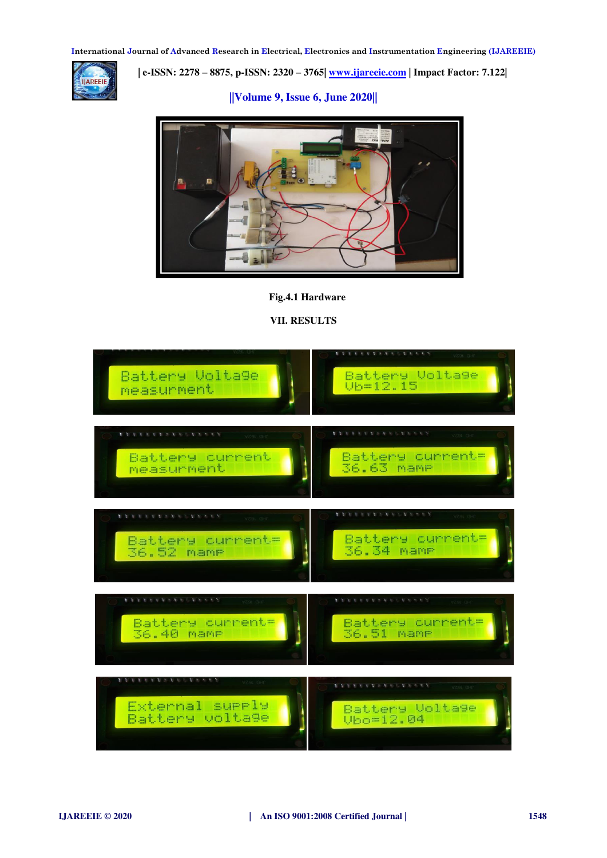

 **| e-ISSN: 2278 – 8875, p-ISSN: 2320 – 3765[| www.ijareeie.com](http://www.ijareeie.com/) | Impact Factor: 7.122|** 

 **||Volume 9, Issue 6, June 2020||** 



## **Fig.4.1 Hardware**

**VII. RESULTS** 

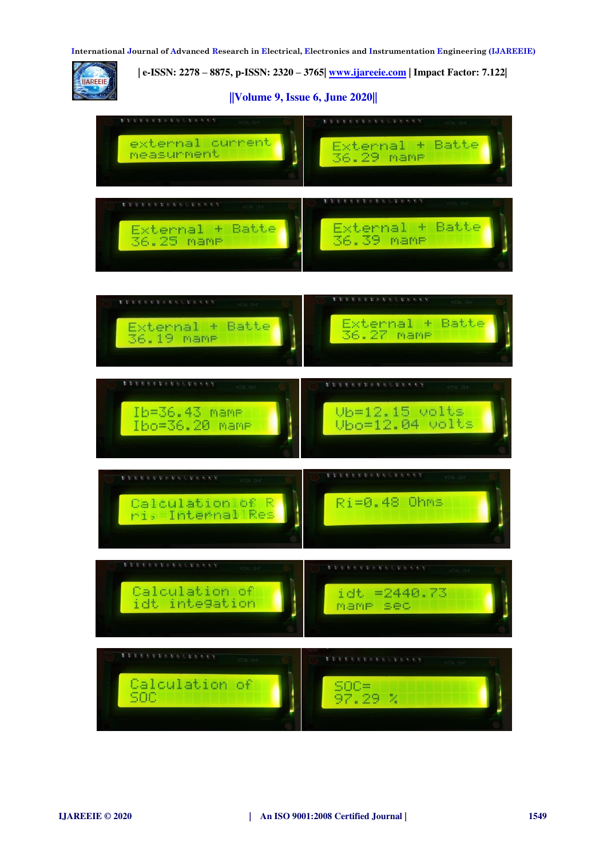

 **| e-ISSN: 2278 – 8875, p-ISSN: 2320 – 3765[| www.ijareeie.com](http://www.ijareeie.com/) | Impact Factor: 7.122|** 

## **||Volume 9, Issue 6, June 2020||**